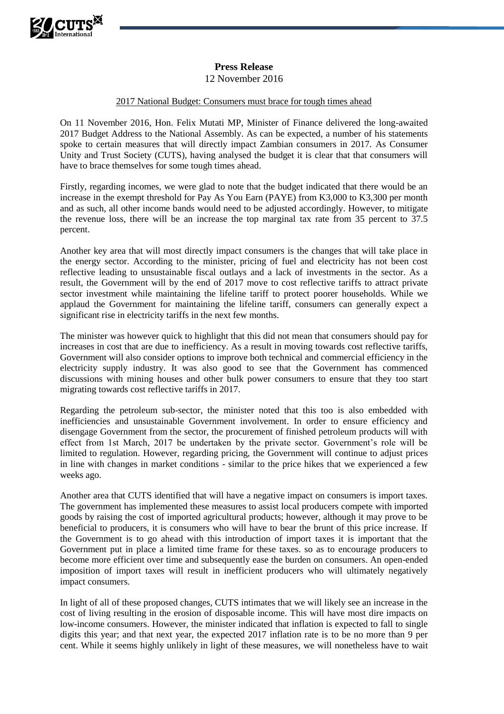

## **Press Release**

12 November 2016

## 2017 National Budget: Consumers must brace for tough times ahead

On 11 November 2016, Hon. Felix Mutati MP, Minister of Finance delivered the long-awaited 2017 Budget Address to the National Assembly. As can be expected, a number of his statements spoke to certain measures that will directly impact Zambian consumers in 2017. As Consumer Unity and Trust Society (CUTS), having analysed the budget it is clear that that consumers will have to brace themselves for some tough times ahead.

Firstly, regarding incomes, we were glad to note that the budget indicated that there would be an increase in the exempt threshold for Pay As You Earn (PAYE) from K3,000 to K3,300 per month and as such, all other income bands would need to be adjusted accordingly. However, to mitigate the revenue loss, there will be an increase the top marginal tax rate from 35 percent to 37.5 percent.

Another key area that will most directly impact consumers is the changes that will take place in the energy sector. According to the minister, pricing of fuel and electricity has not been cost reflective leading to unsustainable fiscal outlays and a lack of investments in the sector. As a result, the Government will by the end of 2017 move to cost reflective tariffs to attract private sector investment while maintaining the lifeline tariff to protect poorer households. While we applaud the Government for maintaining the lifeline tariff, consumers can generally expect a significant rise in electricity tariffs in the next few months.

The minister was however quick to highlight that this did not mean that consumers should pay for increases in cost that are due to inefficiency. As a result in moving towards cost reflective tariffs, Government will also consider options to improve both technical and commercial efficiency in the electricity supply industry. It was also good to see that the Government has commenced discussions with mining houses and other bulk power consumers to ensure that they too start migrating towards cost reflective tariffs in 2017.

Regarding the petroleum sub-sector, the minister noted that this too is also embedded with inefficiencies and unsustainable Government involvement. In order to ensure efficiency and disengage Government from the sector, the procurement of finished petroleum products will with effect from 1st March, 2017 be undertaken by the private sector. Government's role will be limited to regulation. However, regarding pricing, the Government will continue to adjust prices in line with changes in market conditions - similar to the price hikes that we experienced a few weeks ago.

Another area that CUTS identified that will have a negative impact on consumers is import taxes. The government has implemented these measures to assist local producers compete with imported goods by raising the cost of imported agricultural products; however, although it may prove to be beneficial to producers, it is consumers who will have to bear the brunt of this price increase. If the Government is to go ahead with this introduction of import taxes it is important that the Government put in place a limited time frame for these taxes. so as to encourage producers to become more efficient over time and subsequently ease the burden on consumers. An open-ended imposition of import taxes will result in inefficient producers who will ultimately negatively impact consumers.

In light of all of these proposed changes, CUTS intimates that we will likely see an increase in the cost of living resulting in the erosion of disposable income. This will have most dire impacts on low-income consumers. However, the minister indicated that inflation is expected to fall to single digits this year; and that next year, the expected 2017 inflation rate is to be no more than 9 per cent. While it seems highly unlikely in light of these measures, we will nonetheless have to wait